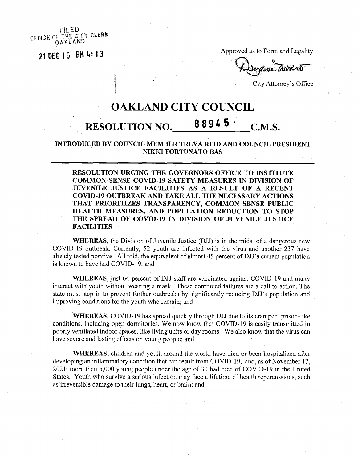OFFICE OF THE CITY CLERK OAKLAND

21 DEC 16 RM 4: 13

Approved as to Form and Legality

**<sup>i</sup>** City Attorney's Office

## OAKLAND CITY COUNCIL

## RESOLUTION NO.  $88945$  C.M.S.

**INTRODUCED BY COUNCIL MEMBER TREVA REID AND COUNCIL PRESIDENT NIKKI FORTUNATO BAS**

**RESOLUTION URGING THE GOVERNORS OFFICE TO INSTITUTE COMMON SENSE COVTD-19 SAFETY MEASURES IN DIVISION OF JUVENILE JUSTICE FACILITIES AS A RESULT OF A RECENT COVID-19 OUTBREAK AND TAKE ALL THE NECESSARY ACTIONS THAT PRIORITIZES TRANSPARENCY, COMMON SENSE PUBLIC HEALTH MEASURES, AND POPULATION REDUCTION TO STOP THE SPREAD OF COVID-19 IN DIVISION OF JUVENILE JUSTICE FACILITIES**

**WHEREAS**, the Division of Juvenile Justice (DJJ) is in the midst of a dangerous new COVID-19 outbreak. Currently, 52 youth are infected with the virus and another 237 have already tested positive. All told, the equivalent of almost 45 percent of DJJ's current population is known to have had COVID-19; and

**WHEREAS,** just 64 percent of DJJ staff are vaccinated against COVID-19 and many interact with youth without wearing a mask. These continued failures are a call to action. The state must step in to prevent further outbreaks by significantly reducing DJJ's population and improving conditions for the youth who remain; and

**WHEREAS,** COVID-19 has spread quickly through DJJ due to its cramped, prison-like conditions, including open dormitories. We now know that COVID-19 is easily transmitted in. poorly ventilated indoor spaces, like living units or day rooms. We also know that the virus can have severe and lasting effects on young people; and

**WHEREAS,** children and youth around the world have died or been hospitalized after developing an inflammatory condition that can result from COVID-19, and, as of November 17, 2021, more than 5,000 young people under the age of 30 had died of COVID-19 in the United States. Youth who survive a serious infection may face a lifetime of health repercussions, such as irreversible damage to their lungs, heart, or brain; and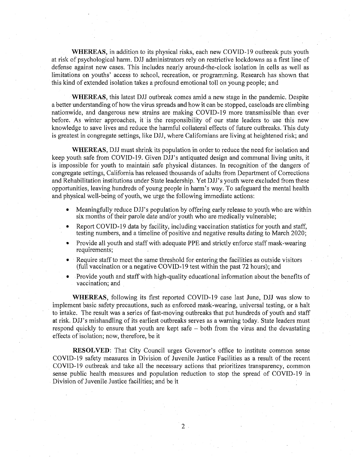**WHEREAS,** in addition to its physical risks, each new COVID-19 outbreak puts youth at risk of psychological harm. DJJ administrators rely on restrictive lockdowns as a first line of defense against new cases. This includes nearly around-the-clock isolation in cells as well as limitations on youths' access to school, recreation, or programming. Research has shown that this kind of extended isolation takes a profound emotional toll on young people; and

**WHEREAS,** this latest DJJ outbreak comes amid a new stage in the pandemic. Despite a better understanding of how the virus spreads and how it can be stopped, caseloads are climbing nationwide, and dangerous new strains are making COVID-19 more transmissible than ever before. As winter approaches, it is the responsibility of our state leaders to use this new knowledge to save lives and reduce the harmful collateral effects of future outbreaks. This duty is greatest in congregate settings, like DJJ, where Californians are living at heightened risk; and

**WHEREAS,** DJJ must shrink its population in order to reduce the need for isolation and keep youth safe from COVID-19. Given DJJ's antiquated design and communal living units, it is impossible for youth to maintain safe physical distances. In recognition of the dangers of congregate settings, California has released thousands of adults from Department of Corrections and Rehabilitation institutions under State leadership. Yet DJJ's youth were excluded from these opportunities, leaving hundreds of young people in harm's way. To safeguard the mental health and physical well-being of youth, we urge the following immediate actions:

- Meaningfully reduce DJJ's population by offering early release to youth who are within six months of their parole date and/or youth who are medically vulnerable;
- Report COVID-19 data by facility, including vaccination statistics for youth and staff, testing numbers, and a timeline of positive and negative results dating to March 2020;
- Provide all youth and staff with adequate PPE and strictly enforce staff mask-wearing requirements;
- Require staffto meet the same threshold for entering the facilities as outside visitors (full vaccination or a negative COVID-19 test within the past 72 hours); and
- Provide youth and staffwith high-quality educational information about the benefits of vaccination; and

**WHEREAS,** following its first reported COVID-19 case last June, DJJ was slow to implement basic safety precautions, such as enforced mask-wearing, universal testing, or a halt to intake. The result was a series of fast-moving outbreaks that put hundreds of youth and staff at risk. DJJ's mishandling of its earliest outbreaks serves as a warning today. State leaders must respond quickly to ensure that youth are kept safe  $-$  both from the virus and the devastating effects of isolation; now, therefore, be it

**RESOLVED:** That City Council urges Governor's office to institute common sense COVID-19 safety measures in Division of Juvenile Justice Facilities as a result of the recent COVID-19 outbreak and take all the necessary actions that prioritizes transparency, common sense public health measures and population reduction to stop the spread of COVID-19 in Division of Juvenile Justice facilities; and be it

**2**